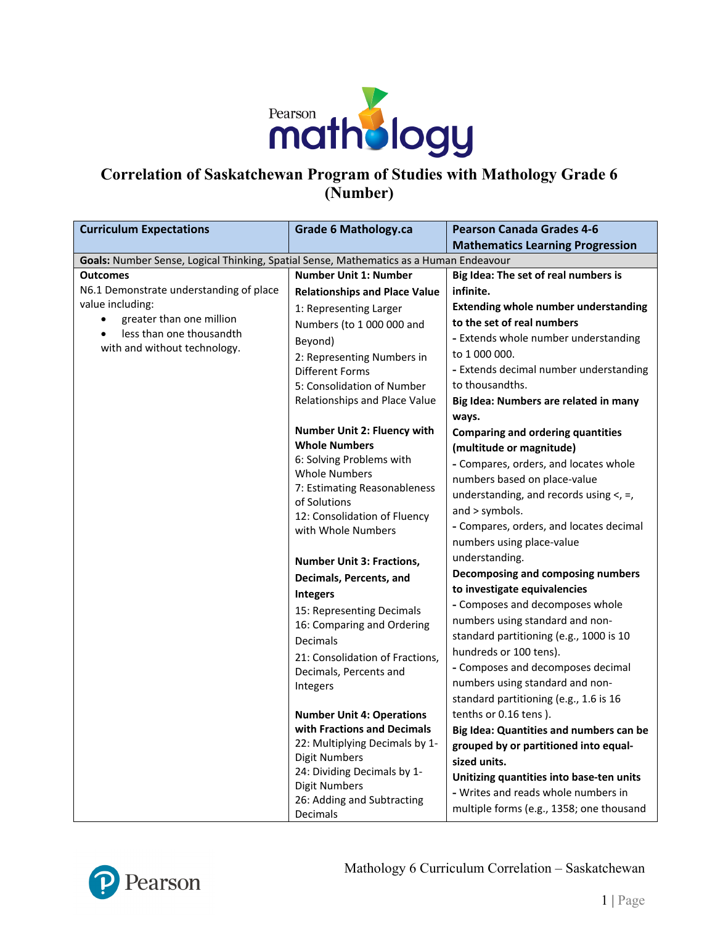

## **Correlation of Saskatchewan Program of Studies with Mathology Grade 6 (Number)**

| <b>Curriculum Expectations</b>                                                         | <b>Grade 6 Mathology.ca</b>                                                                                                                                                                                                                                                                            | <b>Pearson Canada Grades 4-6</b>                                                                                                                                                                                                                                                                                                                                                                                 |  |
|----------------------------------------------------------------------------------------|--------------------------------------------------------------------------------------------------------------------------------------------------------------------------------------------------------------------------------------------------------------------------------------------------------|------------------------------------------------------------------------------------------------------------------------------------------------------------------------------------------------------------------------------------------------------------------------------------------------------------------------------------------------------------------------------------------------------------------|--|
|                                                                                        |                                                                                                                                                                                                                                                                                                        | <b>Mathematics Learning Progression</b>                                                                                                                                                                                                                                                                                                                                                                          |  |
| Goals: Number Sense, Logical Thinking, Spatial Sense, Mathematics as a Human Endeavour |                                                                                                                                                                                                                                                                                                        |                                                                                                                                                                                                                                                                                                                                                                                                                  |  |
| <b>Outcomes</b>                                                                        | <b>Number Unit 1: Number</b>                                                                                                                                                                                                                                                                           | Big Idea: The set of real numbers is                                                                                                                                                                                                                                                                                                                                                                             |  |
| N6.1 Demonstrate understanding of place                                                | <b>Relationships and Place Value</b>                                                                                                                                                                                                                                                                   | infinite.                                                                                                                                                                                                                                                                                                                                                                                                        |  |
| value including:                                                                       | 1: Representing Larger                                                                                                                                                                                                                                                                                 | <b>Extending whole number understanding</b>                                                                                                                                                                                                                                                                                                                                                                      |  |
| greater than one million<br>$\bullet$                                                  | Numbers (to 1 000 000 and                                                                                                                                                                                                                                                                              | to the set of real numbers                                                                                                                                                                                                                                                                                                                                                                                       |  |
| less than one thousandth                                                               | Beyond)                                                                                                                                                                                                                                                                                                | - Extends whole number understanding                                                                                                                                                                                                                                                                                                                                                                             |  |
| with and without technology.                                                           | 2: Representing Numbers in                                                                                                                                                                                                                                                                             | to 1 000 000.                                                                                                                                                                                                                                                                                                                                                                                                    |  |
|                                                                                        | <b>Different Forms</b>                                                                                                                                                                                                                                                                                 | - Extends decimal number understanding                                                                                                                                                                                                                                                                                                                                                                           |  |
|                                                                                        | 5: Consolidation of Number                                                                                                                                                                                                                                                                             | to thousandths.                                                                                                                                                                                                                                                                                                                                                                                                  |  |
|                                                                                        | Relationships and Place Value                                                                                                                                                                                                                                                                          | Big Idea: Numbers are related in many                                                                                                                                                                                                                                                                                                                                                                            |  |
|                                                                                        |                                                                                                                                                                                                                                                                                                        | ways.                                                                                                                                                                                                                                                                                                                                                                                                            |  |
|                                                                                        | <b>Number Unit 2: Fluency with</b><br><b>Whole Numbers</b><br>6: Solving Problems with<br><b>Whole Numbers</b><br>7: Estimating Reasonableness<br>of Solutions<br>12: Consolidation of Fluency<br>with Whole Numbers<br><b>Number Unit 3: Fractions,</b><br>Decimals, Percents, and<br><b>Integers</b> | <b>Comparing and ordering quantities</b><br>(multitude or magnitude)<br>- Compares, orders, and locates whole<br>numbers based on place-value<br>understanding, and records using $\lt$ , =,<br>and > symbols.<br>- Compares, orders, and locates decimal<br>numbers using place-value<br>understanding.<br>Decomposing and composing numbers<br>to investigate equivalencies<br>- Composes and decomposes whole |  |
|                                                                                        | 15: Representing Decimals                                                                                                                                                                                                                                                                              | numbers using standard and non-                                                                                                                                                                                                                                                                                                                                                                                  |  |
|                                                                                        | 16: Comparing and Ordering<br>Decimals                                                                                                                                                                                                                                                                 | standard partitioning (e.g., 1000 is 10                                                                                                                                                                                                                                                                                                                                                                          |  |
|                                                                                        | 21: Consolidation of Fractions,                                                                                                                                                                                                                                                                        | hundreds or 100 tens).                                                                                                                                                                                                                                                                                                                                                                                           |  |
|                                                                                        | Decimals, Percents and                                                                                                                                                                                                                                                                                 | - Composes and decomposes decimal                                                                                                                                                                                                                                                                                                                                                                                |  |
|                                                                                        | Integers                                                                                                                                                                                                                                                                                               | numbers using standard and non-                                                                                                                                                                                                                                                                                                                                                                                  |  |
|                                                                                        |                                                                                                                                                                                                                                                                                                        | standard partitioning (e.g., 1.6 is 16                                                                                                                                                                                                                                                                                                                                                                           |  |
|                                                                                        | <b>Number Unit 4: Operations</b>                                                                                                                                                                                                                                                                       | tenths or 0.16 tens).                                                                                                                                                                                                                                                                                                                                                                                            |  |
|                                                                                        | with Fractions and Decimals                                                                                                                                                                                                                                                                            | Big Idea: Quantities and numbers can be                                                                                                                                                                                                                                                                                                                                                                          |  |
|                                                                                        | 22: Multiplying Decimals by 1-<br><b>Digit Numbers</b>                                                                                                                                                                                                                                                 | grouped by or partitioned into equal-                                                                                                                                                                                                                                                                                                                                                                            |  |
|                                                                                        | 24: Dividing Decimals by 1-                                                                                                                                                                                                                                                                            | sized units.                                                                                                                                                                                                                                                                                                                                                                                                     |  |
|                                                                                        | Digit Numbers                                                                                                                                                                                                                                                                                          | Unitizing quantities into base-ten units                                                                                                                                                                                                                                                                                                                                                                         |  |
|                                                                                        | 26: Adding and Subtracting                                                                                                                                                                                                                                                                             | - Writes and reads whole numbers in                                                                                                                                                                                                                                                                                                                                                                              |  |
|                                                                                        | Decimals                                                                                                                                                                                                                                                                                               | multiple forms (e.g., 1358; one thousand                                                                                                                                                                                                                                                                                                                                                                         |  |



Mathology 6 Curriculum Correlation – Saskatchewan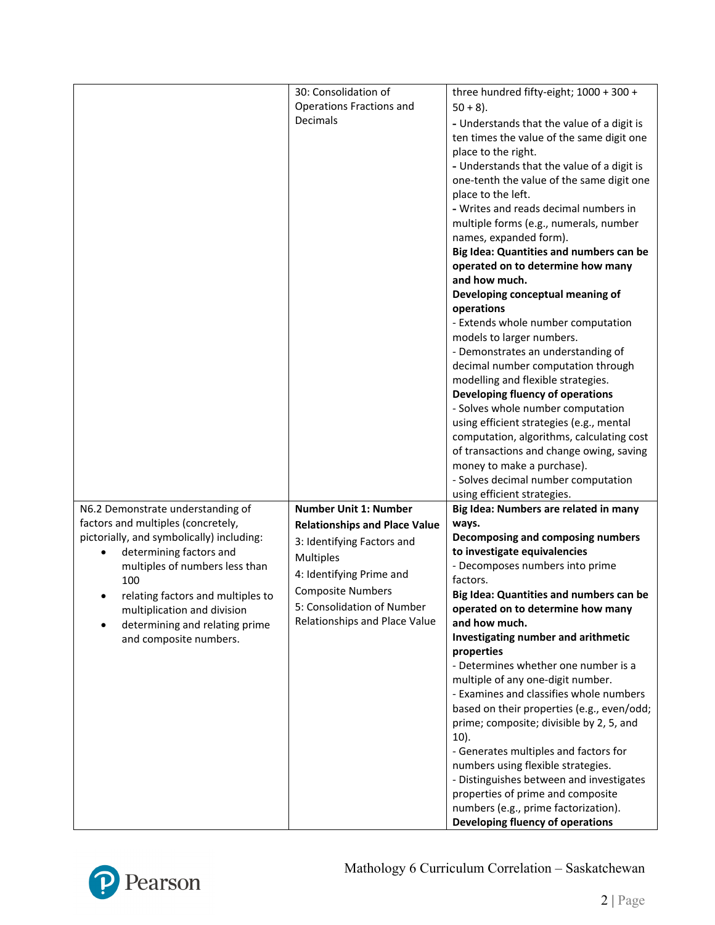|                                           | 30: Consolidation of                 | three hundred fifty-eight; 1000 + 300 +        |
|-------------------------------------------|--------------------------------------|------------------------------------------------|
|                                           | <b>Operations Fractions and</b>      | $50 + 8$ ).                                    |
|                                           | Decimals                             |                                                |
|                                           |                                      | - Understands that the value of a digit is     |
|                                           |                                      | ten times the value of the same digit one      |
|                                           |                                      | place to the right.                            |
|                                           |                                      | - Understands that the value of a digit is     |
|                                           |                                      | one-tenth the value of the same digit one      |
|                                           |                                      | place to the left.                             |
|                                           |                                      | - Writes and reads decimal numbers in          |
|                                           |                                      | multiple forms (e.g., numerals, number         |
|                                           |                                      | names, expanded form).                         |
|                                           |                                      | Big Idea: Quantities and numbers can be        |
|                                           |                                      | operated on to determine how many              |
|                                           |                                      | and how much.                                  |
|                                           |                                      |                                                |
|                                           |                                      | Developing conceptual meaning of<br>operations |
|                                           |                                      | - Extends whole number computation             |
|                                           |                                      | models to larger numbers.                      |
|                                           |                                      | - Demonstrates an understanding of             |
|                                           |                                      | decimal number computation through             |
|                                           |                                      | modelling and flexible strategies.             |
|                                           |                                      | Developing fluency of operations               |
|                                           |                                      | - Solves whole number computation              |
|                                           |                                      | using efficient strategies (e.g., mental       |
|                                           |                                      |                                                |
|                                           |                                      | computation, algorithms, calculating cost      |
|                                           |                                      | of transactions and change owing, saving       |
|                                           |                                      | money to make a purchase).                     |
|                                           |                                      | - Solves decimal number computation            |
|                                           |                                      | using efficient strategies.                    |
| N6.2 Demonstrate understanding of         | <b>Number Unit 1: Number</b>         | Big Idea: Numbers are related in many          |
| factors and multiples (concretely,        | <b>Relationships and Place Value</b> | ways.                                          |
| pictorially, and symbolically) including: | 3: Identifying Factors and           | Decomposing and composing numbers              |
| determining factors and                   | Multiples                            | to investigate equivalencies                   |
| multiples of numbers less than            |                                      | - Decomposes numbers into prime                |
| 100                                       | 4: Identifying Prime and             | factors.                                       |
| relating factors and multiples to         | <b>Composite Numbers</b>             | Big Idea: Quantities and numbers can be        |
| multiplication and division               | 5: Consolidation of Number           | operated on to determine how many              |
| determining and relating prime            | Relationships and Place Value        | and how much.                                  |
| and composite numbers.                    |                                      | Investigating number and arithmetic            |
|                                           |                                      | properties                                     |
|                                           |                                      | - Determines whether one number is a           |
|                                           |                                      | multiple of any one-digit number.              |
|                                           |                                      | - Examines and classifies whole numbers        |
|                                           |                                      | based on their properties (e.g., even/odd;     |
|                                           |                                      | prime; composite; divisible by 2, 5, and       |
|                                           |                                      | $10$ ).                                        |
|                                           |                                      | - Generates multiples and factors for          |
|                                           |                                      | numbers using flexible strategies.             |
|                                           |                                      | - Distinguishes between and investigates       |
|                                           |                                      |                                                |
|                                           |                                      | properties of prime and composite              |
|                                           |                                      | numbers (e.g., prime factorization).           |
|                                           |                                      | Developing fluency of operations               |

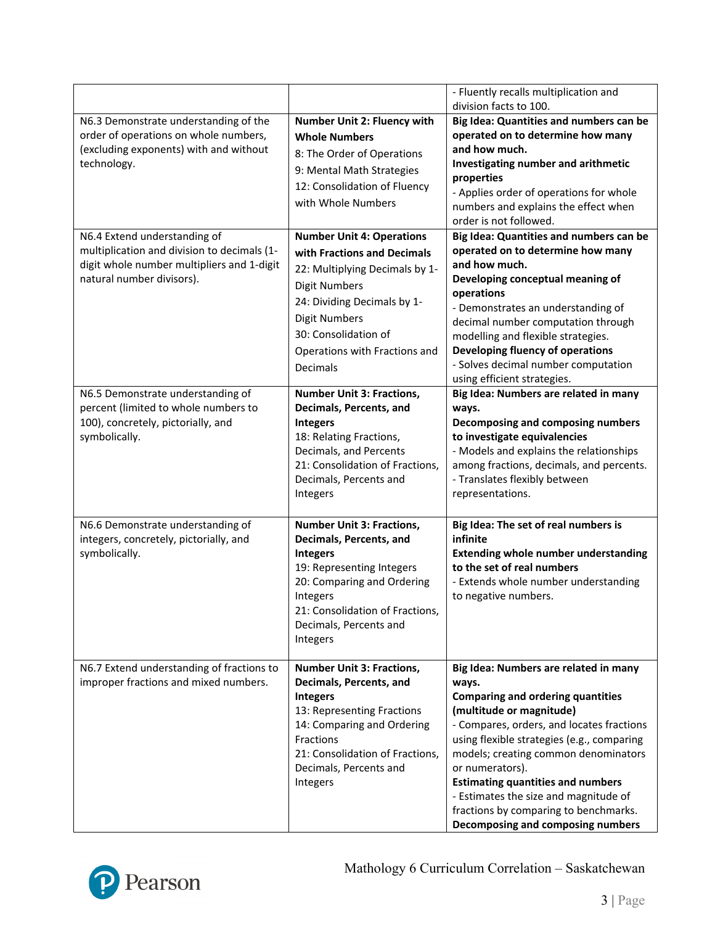|                                             |                                         | - Fluently recalls multiplication and                                 |
|---------------------------------------------|-----------------------------------------|-----------------------------------------------------------------------|
|                                             |                                         | division facts to 100.                                                |
| N6.3 Demonstrate understanding of the       | <b>Number Unit 2: Fluency with</b>      | Big Idea: Quantities and numbers can be                               |
| order of operations on whole numbers,       | <b>Whole Numbers</b>                    | operated on to determine how many                                     |
| (excluding exponents) with and without      | 8: The Order of Operations              | and how much.                                                         |
| technology.                                 | 9: Mental Math Strategies               | Investigating number and arithmetic                                   |
|                                             |                                         | properties                                                            |
|                                             | 12: Consolidation of Fluency            | - Applies order of operations for whole                               |
|                                             | with Whole Numbers                      | numbers and explains the effect when                                  |
|                                             |                                         | order is not followed.                                                |
| N6.4 Extend understanding of                | <b>Number Unit 4: Operations</b>        | Big Idea: Quantities and numbers can be                               |
| multiplication and division to decimals (1- | with Fractions and Decimals             | operated on to determine how many                                     |
| digit whole number multipliers and 1-digit  | 22: Multiplying Decimals by 1-          | and how much.                                                         |
| natural number divisors).                   | <b>Digit Numbers</b>                    | Developing conceptual meaning of                                      |
|                                             |                                         | operations                                                            |
|                                             | 24: Dividing Decimals by 1-             | - Demonstrates an understanding of                                    |
|                                             | <b>Digit Numbers</b>                    | decimal number computation through                                    |
|                                             | 30: Consolidation of                    | modelling and flexible strategies.                                    |
|                                             | Operations with Fractions and           | Developing fluency of operations                                      |
|                                             | Decimals                                | - Solves decimal number computation                                   |
|                                             |                                         | using efficient strategies.                                           |
| N6.5 Demonstrate understanding of           | <b>Number Unit 3: Fractions,</b>        | Big Idea: Numbers are related in many                                 |
| percent (limited to whole numbers to        | Decimals, Percents, and                 | ways.                                                                 |
| 100), concretely, pictorially, and          | <b>Integers</b>                         | Decomposing and composing numbers                                     |
| symbolically.                               | 18: Relating Fractions,                 | to investigate equivalencies                                          |
|                                             | Decimals, and Percents                  | - Models and explains the relationships                               |
|                                             | 21: Consolidation of Fractions,         | among fractions, decimals, and percents.                              |
|                                             | Decimals, Percents and                  | - Translates flexibly between                                         |
|                                             | Integers                                | representations.                                                      |
|                                             |                                         |                                                                       |
| N6.6 Demonstrate understanding of           | <b>Number Unit 3: Fractions,</b>        | Big Idea: The set of real numbers is                                  |
| integers, concretely, pictorially, and      | Decimals, Percents, and                 | infinite                                                              |
| symbolically.                               | <b>Integers</b>                         | <b>Extending whole number understanding</b>                           |
|                                             | 19: Representing Integers               | to the set of real numbers                                            |
|                                             | 20: Comparing and Ordering              | - Extends whole number understanding                                  |
|                                             | Integers                                | to negative numbers.                                                  |
|                                             | 21: Consolidation of Fractions,         |                                                                       |
|                                             | Decimals, Percents and                  |                                                                       |
|                                             | Integers                                |                                                                       |
| N6.7 Extend understanding of fractions to   | <b>Number Unit 3: Fractions,</b>        | Big Idea: Numbers are related in many                                 |
| improper fractions and mixed numbers.       | Decimals, Percents, and                 |                                                                       |
|                                             |                                         | ways.                                                                 |
|                                             | <b>Integers</b>                         | <b>Comparing and ordering quantities</b>                              |
|                                             | 13: Representing Fractions              | (multitude or magnitude)<br>- Compares, orders, and locates fractions |
|                                             | 14: Comparing and Ordering<br>Fractions | using flexible strategies (e.g., comparing                            |
|                                             | 21: Consolidation of Fractions,         | models; creating common denominators                                  |
|                                             | Decimals, Percents and                  | or numerators).                                                       |
|                                             | Integers                                | <b>Estimating quantities and numbers</b>                              |
|                                             |                                         | - Estimates the size and magnitude of                                 |
|                                             |                                         | fractions by comparing to benchmarks.                                 |
|                                             |                                         | Decomposing and composing numbers                                     |
|                                             |                                         |                                                                       |

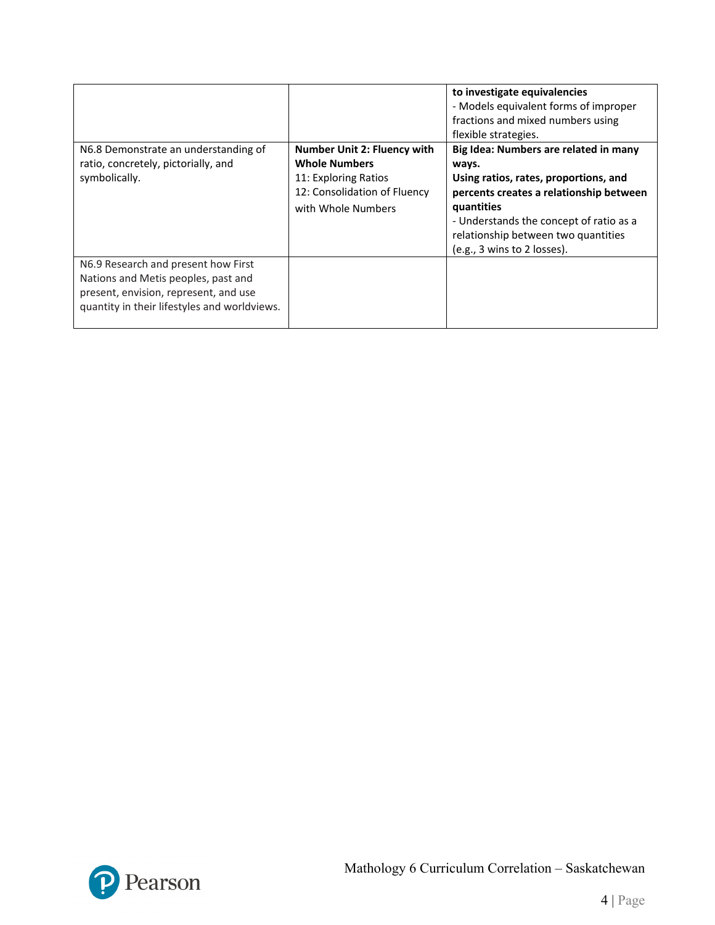|                                                                                                                                                                     |                                                                                                                                   | to investigate equivalencies<br>- Models equivalent forms of improper<br>fractions and mixed numbers using<br>flexible strategies.                                                                                                                                |
|---------------------------------------------------------------------------------------------------------------------------------------------------------------------|-----------------------------------------------------------------------------------------------------------------------------------|-------------------------------------------------------------------------------------------------------------------------------------------------------------------------------------------------------------------------------------------------------------------|
| N6.8 Demonstrate an understanding of<br>ratio, concretely, pictorially, and<br>symbolically.                                                                        | Number Unit 2: Fluency with<br><b>Whole Numbers</b><br>11: Exploring Ratios<br>12: Consolidation of Fluency<br>with Whole Numbers | Big Idea: Numbers are related in many<br>ways.<br>Using ratios, rates, proportions, and<br>percents creates a relationship between<br>quantities<br>- Understands the concept of ratio as a<br>relationship between two quantities<br>(e.g., 3 wins to 2 losses). |
| N6.9 Research and present how First<br>Nations and Metis peoples, past and<br>present, envision, represent, and use<br>quantity in their lifestyles and worldviews. |                                                                                                                                   |                                                                                                                                                                                                                                                                   |

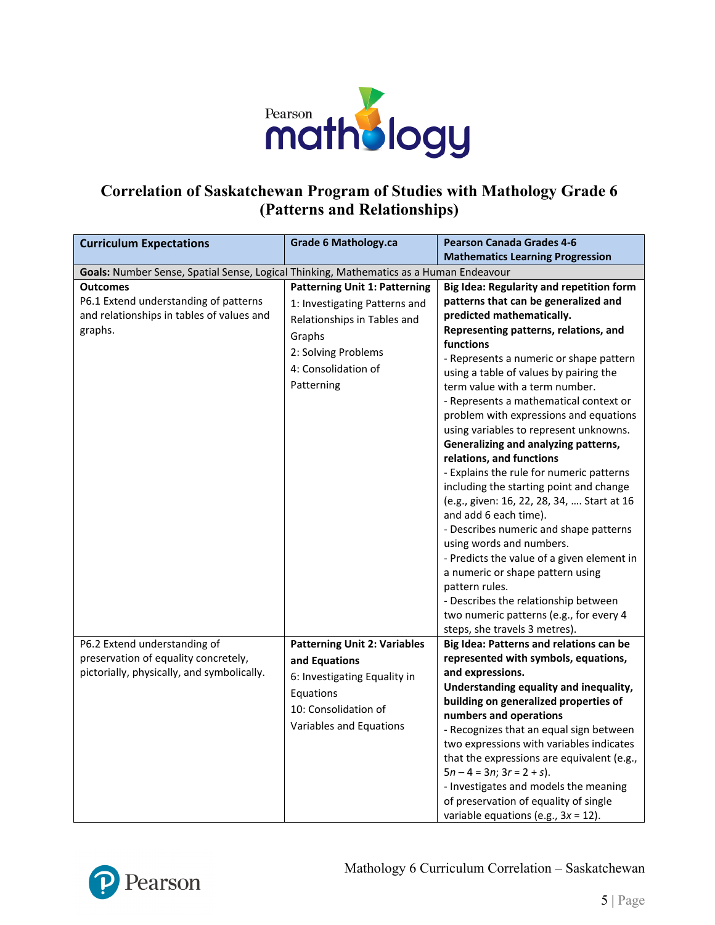

## **Correlation of Saskatchewan Program of Studies with Mathology Grade 6 (Patterns and Relationships)**

| <b>Curriculum Expectations</b>                                                                                   | <b>Grade 6 Mathology.ca</b>                                                                                                                                                | <b>Pearson Canada Grades 4-6</b>                                                                                                                                                                                                                                                                                                                                                                                                                                                                                                                                                                                                                                                                                                                                                                                                                                                                                                                         |
|------------------------------------------------------------------------------------------------------------------|----------------------------------------------------------------------------------------------------------------------------------------------------------------------------|----------------------------------------------------------------------------------------------------------------------------------------------------------------------------------------------------------------------------------------------------------------------------------------------------------------------------------------------------------------------------------------------------------------------------------------------------------------------------------------------------------------------------------------------------------------------------------------------------------------------------------------------------------------------------------------------------------------------------------------------------------------------------------------------------------------------------------------------------------------------------------------------------------------------------------------------------------|
|                                                                                                                  |                                                                                                                                                                            | <b>Mathematics Learning Progression</b>                                                                                                                                                                                                                                                                                                                                                                                                                                                                                                                                                                                                                                                                                                                                                                                                                                                                                                                  |
| Goals: Number Sense, Spatial Sense, Logical Thinking, Mathematics as a Human Endeavour                           |                                                                                                                                                                            |                                                                                                                                                                                                                                                                                                                                                                                                                                                                                                                                                                                                                                                                                                                                                                                                                                                                                                                                                          |
| <b>Outcomes</b><br>P6.1 Extend understanding of patterns<br>and relationships in tables of values and<br>graphs. | <b>Patterning Unit 1: Patterning</b><br>1: Investigating Patterns and<br>Relationships in Tables and<br>Graphs<br>2: Solving Problems<br>4: Consolidation of<br>Patterning | Big Idea: Regularity and repetition form<br>patterns that can be generalized and<br>predicted mathematically.<br>Representing patterns, relations, and<br>functions<br>- Represents a numeric or shape pattern<br>using a table of values by pairing the<br>term value with a term number.<br>- Represents a mathematical context or<br>problem with expressions and equations<br>using variables to represent unknowns.<br>Generalizing and analyzing patterns,<br>relations, and functions<br>- Explains the rule for numeric patterns<br>including the starting point and change<br>(e.g., given: 16, 22, 28, 34,  Start at 16<br>and add 6 each time).<br>- Describes numeric and shape patterns<br>using words and numbers.<br>- Predicts the value of a given element in<br>a numeric or shape pattern using<br>pattern rules.<br>- Describes the relationship between<br>two numeric patterns (e.g., for every 4<br>steps, she travels 3 metres). |
| P6.2 Extend understanding of                                                                                     | <b>Patterning Unit 2: Variables</b>                                                                                                                                        | Big Idea: Patterns and relations can be                                                                                                                                                                                                                                                                                                                                                                                                                                                                                                                                                                                                                                                                                                                                                                                                                                                                                                                  |
| preservation of equality concretely,                                                                             | and Equations                                                                                                                                                              | represented with symbols, equations,                                                                                                                                                                                                                                                                                                                                                                                                                                                                                                                                                                                                                                                                                                                                                                                                                                                                                                                     |
| pictorially, physically, and symbolically.                                                                       | 6: Investigating Equality in                                                                                                                                               | and expressions.                                                                                                                                                                                                                                                                                                                                                                                                                                                                                                                                                                                                                                                                                                                                                                                                                                                                                                                                         |
|                                                                                                                  | Equations                                                                                                                                                                  | Understanding equality and inequality,                                                                                                                                                                                                                                                                                                                                                                                                                                                                                                                                                                                                                                                                                                                                                                                                                                                                                                                   |
|                                                                                                                  | 10: Consolidation of                                                                                                                                                       | building on generalized properties of                                                                                                                                                                                                                                                                                                                                                                                                                                                                                                                                                                                                                                                                                                                                                                                                                                                                                                                    |
|                                                                                                                  |                                                                                                                                                                            | numbers and operations                                                                                                                                                                                                                                                                                                                                                                                                                                                                                                                                                                                                                                                                                                                                                                                                                                                                                                                                   |
|                                                                                                                  | Variables and Equations                                                                                                                                                    | - Recognizes that an equal sign between                                                                                                                                                                                                                                                                                                                                                                                                                                                                                                                                                                                                                                                                                                                                                                                                                                                                                                                  |
|                                                                                                                  |                                                                                                                                                                            | two expressions with variables indicates                                                                                                                                                                                                                                                                                                                                                                                                                                                                                                                                                                                                                                                                                                                                                                                                                                                                                                                 |
|                                                                                                                  |                                                                                                                                                                            | that the expressions are equivalent (e.g.,                                                                                                                                                                                                                                                                                                                                                                                                                                                                                                                                                                                                                                                                                                                                                                                                                                                                                                               |
|                                                                                                                  |                                                                                                                                                                            | $5n - 4 = 3n$ ; $3r = 2 + s$ ).                                                                                                                                                                                                                                                                                                                                                                                                                                                                                                                                                                                                                                                                                                                                                                                                                                                                                                                          |
|                                                                                                                  |                                                                                                                                                                            | - Investigates and models the meaning                                                                                                                                                                                                                                                                                                                                                                                                                                                                                                                                                                                                                                                                                                                                                                                                                                                                                                                    |
|                                                                                                                  |                                                                                                                                                                            | of preservation of equality of single                                                                                                                                                                                                                                                                                                                                                                                                                                                                                                                                                                                                                                                                                                                                                                                                                                                                                                                    |
|                                                                                                                  |                                                                                                                                                                            | variable equations (e.g., $3x = 12$ ).                                                                                                                                                                                                                                                                                                                                                                                                                                                                                                                                                                                                                                                                                                                                                                                                                                                                                                                   |

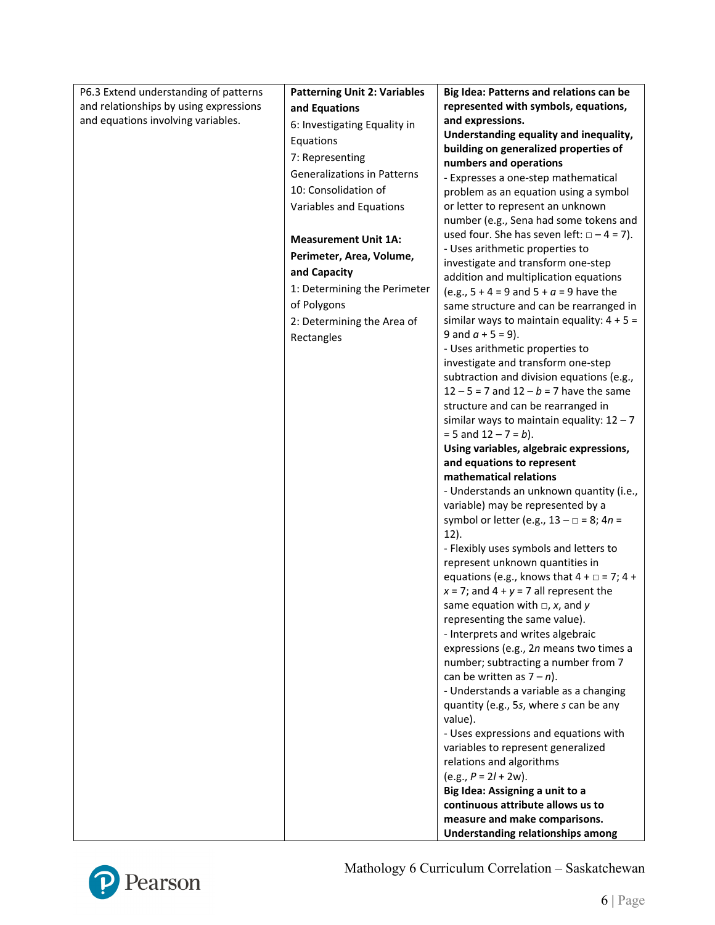| P6.3 Extend understanding of patterns  | <b>Patterning Unit 2: Variables</b> | Big Idea: Patterns and relations can be                                                  |
|----------------------------------------|-------------------------------------|------------------------------------------------------------------------------------------|
| and relationships by using expressions | and Equations                       | represented with symbols, equations,                                                     |
| and equations involving variables.     | 6: Investigating Equality in        | and expressions.                                                                         |
|                                        | Equations                           | Understanding equality and inequality,                                                   |
|                                        | 7: Representing                     | building on generalized properties of                                                    |
|                                        |                                     | numbers and operations                                                                   |
|                                        | <b>Generalizations in Patterns</b>  | - Expresses a one-step mathematical                                                      |
|                                        | 10: Consolidation of                | problem as an equation using a symbol                                                    |
|                                        | Variables and Equations             | or letter to represent an unknown                                                        |
|                                        |                                     | number (e.g., Sena had some tokens and                                                   |
|                                        | <b>Measurement Unit 1A:</b>         | used four. She has seven left: $\Box - 4 = 7$ ).                                         |
|                                        | Perimeter, Area, Volume,            | - Uses arithmetic properties to                                                          |
|                                        | and Capacity                        | investigate and transform one-step<br>addition and multiplication equations              |
|                                        | 1: Determining the Perimeter        | (e.g., $5 + 4 = 9$ and $5 + a = 9$ have the                                              |
|                                        | of Polygons                         | same structure and can be rearranged in                                                  |
|                                        | 2: Determining the Area of          | similar ways to maintain equality: $4 + 5 =$                                             |
|                                        | Rectangles                          | 9 and $a + 5 = 9$ ).                                                                     |
|                                        |                                     | - Uses arithmetic properties to                                                          |
|                                        |                                     | investigate and transform one-step                                                       |
|                                        |                                     | subtraction and division equations (e.g.,                                                |
|                                        |                                     | $12 - 5 = 7$ and $12 - b = 7$ have the same                                              |
|                                        |                                     | structure and can be rearranged in                                                       |
|                                        |                                     | similar ways to maintain equality: $12 - 7$                                              |
|                                        |                                     | $= 5$ and $12 - 7 = b$ ).                                                                |
|                                        |                                     | Using variables, algebraic expressions,                                                  |
|                                        |                                     | and equations to represent                                                               |
|                                        |                                     | mathematical relations                                                                   |
|                                        |                                     | - Understands an unknown quantity (i.e.,                                                 |
|                                        |                                     | variable) may be represented by a<br>symbol or letter (e.g., $13 - \square = 8$ ; $4n =$ |
|                                        |                                     | 12).                                                                                     |
|                                        |                                     | - Flexibly uses symbols and letters to                                                   |
|                                        |                                     | represent unknown quantities in                                                          |
|                                        |                                     | equations (e.g., knows that $4 + \square = 7$ ; $4 +$                                    |
|                                        |                                     | $x = 7$ ; and $4 + y = 7$ all represent the                                              |
|                                        |                                     | same equation with $\Box$ , x, and y                                                     |
|                                        |                                     | representing the same value).                                                            |
|                                        |                                     | - Interprets and writes algebraic                                                        |
|                                        |                                     | expressions (e.g., 2n means two times a                                                  |
|                                        |                                     | number; subtracting a number from 7                                                      |
|                                        |                                     | can be written as $7 - n$ ).                                                             |
|                                        |                                     | - Understands a variable as a changing                                                   |
|                                        |                                     | quantity (e.g., 5s, where s can be any                                                   |
|                                        |                                     | value).                                                                                  |
|                                        |                                     | - Uses expressions and equations with                                                    |
|                                        |                                     | variables to represent generalized                                                       |
|                                        |                                     | relations and algorithms<br>$(e.g., P = 2l + 2w).$                                       |
|                                        |                                     | Big Idea: Assigning a unit to a                                                          |
|                                        |                                     | continuous attribute allows us to                                                        |
|                                        |                                     | measure and make comparisons.                                                            |
|                                        |                                     | <b>Understanding relationships among</b>                                                 |



Mathology 6 Curriculum Correlation – Saskatchewan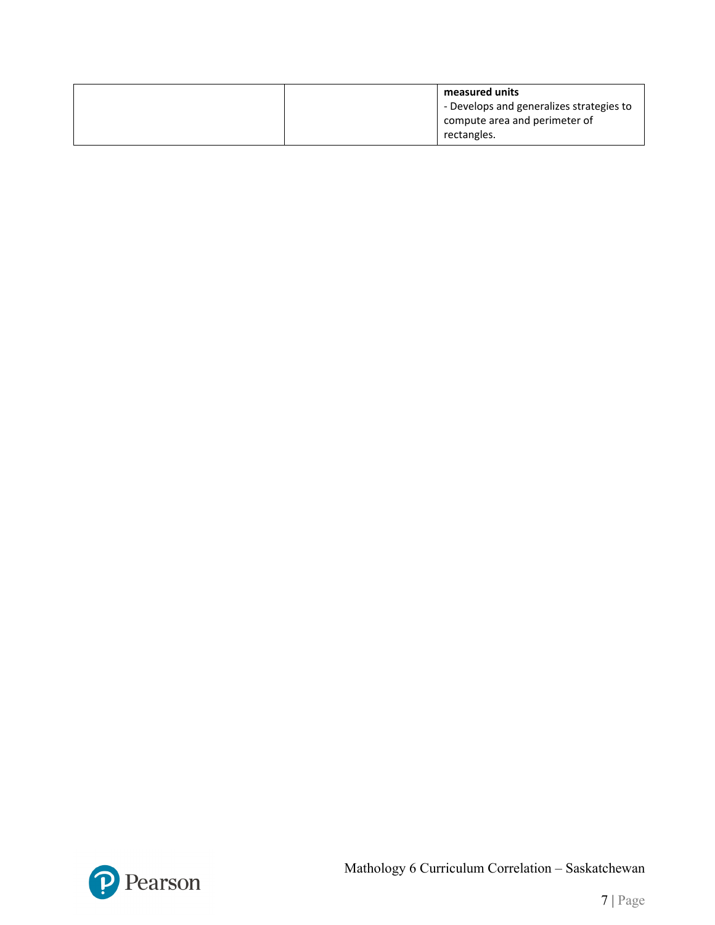| measured units                           |  |
|------------------------------------------|--|
| - Develops and generalizes strategies to |  |
| compute area and perimeter of            |  |
| rectangles.                              |  |

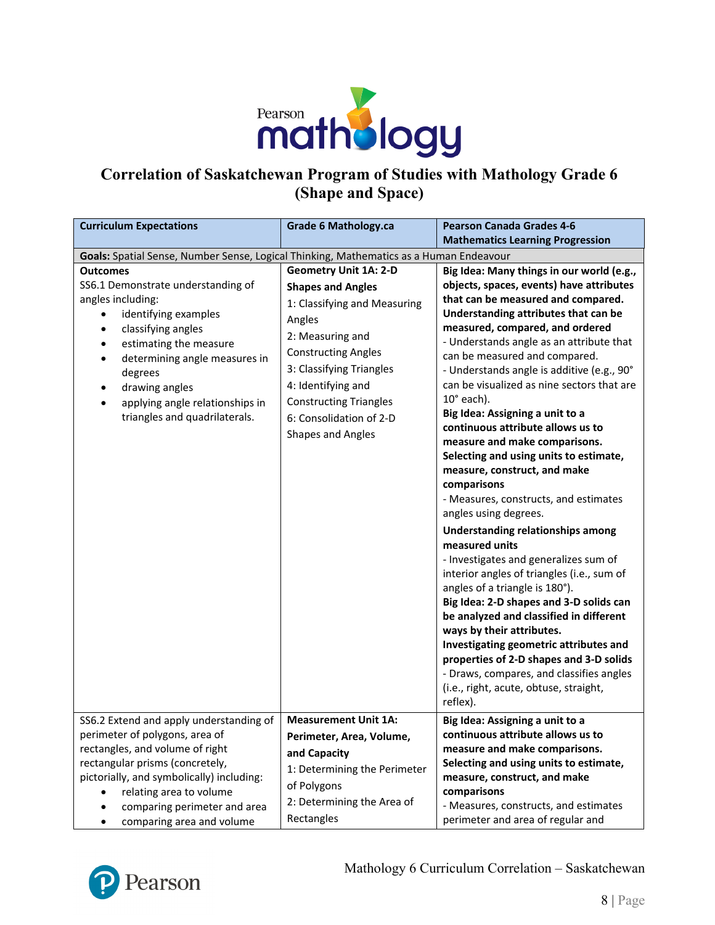

## **Correlation of Saskatchewan Program of Studies with Mathology Grade 6 (Shape and Space)**

| <b>Curriculum Expectations</b>                                                                                                                                                                                                                                                                                                                | <b>Grade 6 Mathology.ca</b>                                                                                                                                                                                                                                                             | <b>Pearson Canada Grades 4-6</b>                                                                                                                                                                                                                                                                                                                                                                                                                                                                                                                                                                                                                                                                                                                                                                                                                                                                                                                                                                                                                                                                                                                                            |
|-----------------------------------------------------------------------------------------------------------------------------------------------------------------------------------------------------------------------------------------------------------------------------------------------------------------------------------------------|-----------------------------------------------------------------------------------------------------------------------------------------------------------------------------------------------------------------------------------------------------------------------------------------|-----------------------------------------------------------------------------------------------------------------------------------------------------------------------------------------------------------------------------------------------------------------------------------------------------------------------------------------------------------------------------------------------------------------------------------------------------------------------------------------------------------------------------------------------------------------------------------------------------------------------------------------------------------------------------------------------------------------------------------------------------------------------------------------------------------------------------------------------------------------------------------------------------------------------------------------------------------------------------------------------------------------------------------------------------------------------------------------------------------------------------------------------------------------------------|
|                                                                                                                                                                                                                                                                                                                                               |                                                                                                                                                                                                                                                                                         | <b>Mathematics Learning Progression</b>                                                                                                                                                                                                                                                                                                                                                                                                                                                                                                                                                                                                                                                                                                                                                                                                                                                                                                                                                                                                                                                                                                                                     |
| Goals: Spatial Sense, Number Sense, Logical Thinking, Mathematics as a Human Endeavour                                                                                                                                                                                                                                                        |                                                                                                                                                                                                                                                                                         |                                                                                                                                                                                                                                                                                                                                                                                                                                                                                                                                                                                                                                                                                                                                                                                                                                                                                                                                                                                                                                                                                                                                                                             |
| <b>Outcomes</b><br>SS6.1 Demonstrate understanding of<br>angles including:<br>identifying examples<br>classifying angles<br>$\bullet$<br>estimating the measure<br>٠<br>determining angle measures in<br>$\bullet$<br>degrees<br>drawing angles<br>$\bullet$<br>applying angle relationships in<br>$\bullet$<br>triangles and quadrilaterals. | <b>Geometry Unit 1A: 2-D</b><br><b>Shapes and Angles</b><br>1: Classifying and Measuring<br>Angles<br>2: Measuring and<br><b>Constructing Angles</b><br>3: Classifying Triangles<br>4: Identifying and<br><b>Constructing Triangles</b><br>6: Consolidation of 2-D<br>Shapes and Angles | Big Idea: Many things in our world (e.g.,<br>objects, spaces, events) have attributes<br>that can be measured and compared.<br>Understanding attributes that can be<br>measured, compared, and ordered<br>- Understands angle as an attribute that<br>can be measured and compared.<br>- Understands angle is additive (e.g., 90°<br>can be visualized as nine sectors that are<br>$10^{\circ}$ each).<br>Big Idea: Assigning a unit to a<br>continuous attribute allows us to<br>measure and make comparisons.<br>Selecting and using units to estimate,<br>measure, construct, and make<br>comparisons<br>- Measures, constructs, and estimates<br>angles using degrees.<br><b>Understanding relationships among</b><br>measured units<br>- Investigates and generalizes sum of<br>interior angles of triangles (i.e., sum of<br>angles of a triangle is 180°).<br>Big Idea: 2-D shapes and 3-D solids can<br>be analyzed and classified in different<br>ways by their attributes.<br>Investigating geometric attributes and<br>properties of 2-D shapes and 3-D solids<br>- Draws, compares, and classifies angles<br>(i.e., right, acute, obtuse, straight,<br>reflex). |
| SS6.2 Extend and apply understanding of<br>perimeter of polygons, area of<br>rectangles, and volume of right<br>rectangular prisms (concretely,                                                                                                                                                                                               | <b>Measurement Unit 1A:</b><br>Perimeter, Area, Volume,<br>and Capacity                                                                                                                                                                                                                 | Big Idea: Assigning a unit to a<br>continuous attribute allows us to<br>measure and make comparisons.<br>Selecting and using units to estimate,                                                                                                                                                                                                                                                                                                                                                                                                                                                                                                                                                                                                                                                                                                                                                                                                                                                                                                                                                                                                                             |
| pictorially, and symbolically) including:<br>relating area to volume<br>comparing perimeter and area<br>comparing area and volume<br>٠                                                                                                                                                                                                        | 1: Determining the Perimeter<br>of Polygons<br>2: Determining the Area of<br>Rectangles                                                                                                                                                                                                 | measure, construct, and make<br>comparisons<br>- Measures, constructs, and estimates<br>perimeter and area of regular and                                                                                                                                                                                                                                                                                                                                                                                                                                                                                                                                                                                                                                                                                                                                                                                                                                                                                                                                                                                                                                                   |

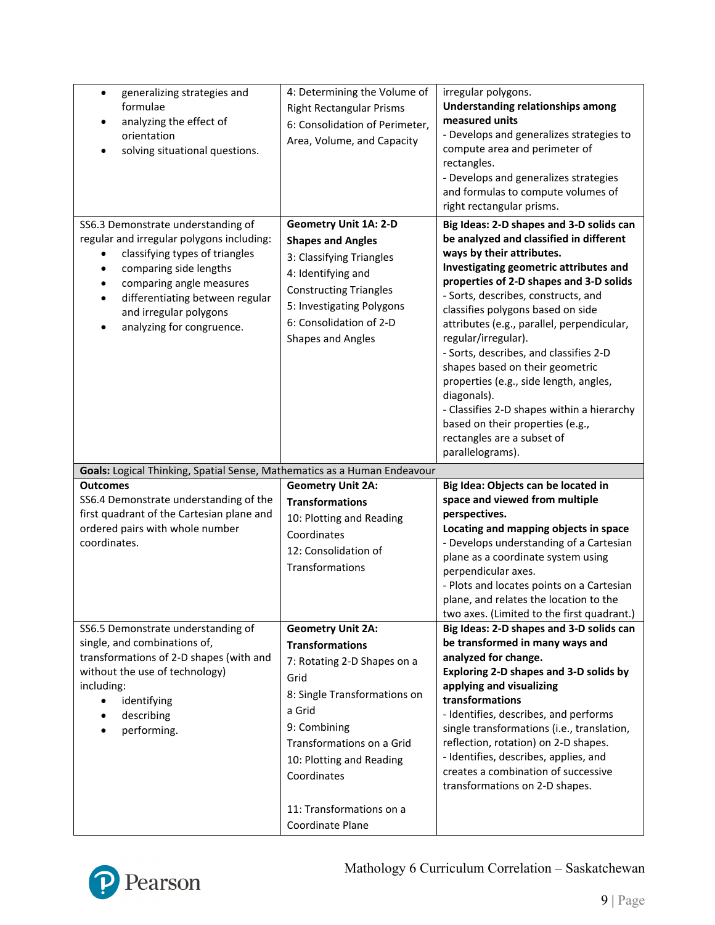| generalizing strategies and<br>$\bullet$<br>formulae<br>analyzing the effect of<br>orientation<br>solving situational questions.                                                                                                                                                                                      | 4: Determining the Volume of<br><b>Right Rectangular Prisms</b><br>6: Consolidation of Perimeter,<br>Area, Volume, and Capacity                                                                                                                                             | irregular polygons.<br><b>Understanding relationships among</b><br>measured units<br>- Develops and generalizes strategies to<br>compute area and perimeter of<br>rectangles.<br>- Develops and generalizes strategies<br>and formulas to compute volumes of<br>right rectangular prisms.                                                                                                                                                                                                                                                                                                                                        |
|-----------------------------------------------------------------------------------------------------------------------------------------------------------------------------------------------------------------------------------------------------------------------------------------------------------------------|-----------------------------------------------------------------------------------------------------------------------------------------------------------------------------------------------------------------------------------------------------------------------------|----------------------------------------------------------------------------------------------------------------------------------------------------------------------------------------------------------------------------------------------------------------------------------------------------------------------------------------------------------------------------------------------------------------------------------------------------------------------------------------------------------------------------------------------------------------------------------------------------------------------------------|
| SS6.3 Demonstrate understanding of<br>regular and irregular polygons including:<br>classifying types of triangles<br>comparing side lengths<br>$\bullet$<br>comparing angle measures<br>$\bullet$<br>differentiating between regular<br>$\bullet$<br>and irregular polygons<br>analyzing for congruence.<br>$\bullet$ | <b>Geometry Unit 1A: 2-D</b><br><b>Shapes and Angles</b><br>3: Classifying Triangles<br>4: Identifying and<br><b>Constructing Triangles</b><br>5: Investigating Polygons<br>6: Consolidation of 2-D<br>Shapes and Angles                                                    | Big Ideas: 2-D shapes and 3-D solids can<br>be analyzed and classified in different<br>ways by their attributes.<br>Investigating geometric attributes and<br>properties of 2-D shapes and 3-D solids<br>- Sorts, describes, constructs, and<br>classifies polygons based on side<br>attributes (e.g., parallel, perpendicular,<br>regular/irregular).<br>- Sorts, describes, and classifies 2-D<br>shapes based on their geometric<br>properties (e.g., side length, angles,<br>diagonals).<br>- Classifies 2-D shapes within a hierarchy<br>based on their properties (e.g.,<br>rectangles are a subset of<br>parallelograms). |
| Goals: Logical Thinking, Spatial Sense, Mathematics as a Human Endeavour                                                                                                                                                                                                                                              |                                                                                                                                                                                                                                                                             |                                                                                                                                                                                                                                                                                                                                                                                                                                                                                                                                                                                                                                  |
| <b>Outcomes</b><br>SS6.4 Demonstrate understanding of the<br>first quadrant of the Cartesian plane and<br>ordered pairs with whole number<br>coordinates.                                                                                                                                                             | <b>Geometry Unit 2A:</b><br><b>Transformations</b><br>10: Plotting and Reading<br>Coordinates<br>12: Consolidation of<br>Transformations                                                                                                                                    | Big Idea: Objects can be located in<br>space and viewed from multiple<br>perspectives.<br>Locating and mapping objects in space<br>- Develops understanding of a Cartesian<br>plane as a coordinate system using<br>perpendicular axes.<br>- Plots and locates points on a Cartesian<br>plane, and relates the location to the<br>two axes. (Limited to the first quadrant.)                                                                                                                                                                                                                                                     |
| SS6.5 Demonstrate understanding of<br>single, and combinations of,<br>transformations of 2-D shapes (with and<br>without the use of technology)<br>including:<br>identifying<br>$\bullet$<br>describing<br>performing.                                                                                                | <b>Geometry Unit 2A:</b><br><b>Transformations</b><br>7: Rotating 2-D Shapes on a<br>Grid<br>8: Single Transformations on<br>a Grid<br>9: Combining<br>Transformations on a Grid<br>10: Plotting and Reading<br>Coordinates<br>11: Transformations on a<br>Coordinate Plane | Big Ideas: 2-D shapes and 3-D solids can<br>be transformed in many ways and<br>analyzed for change.<br>Exploring 2-D shapes and 3-D solids by<br>applying and visualizing<br>transformations<br>- Identifies, describes, and performs<br>single transformations (i.e., translation,<br>reflection, rotation) on 2-D shapes.<br>- Identifies, describes, applies, and<br>creates a combination of successive<br>transformations on 2-D shapes.                                                                                                                                                                                    |

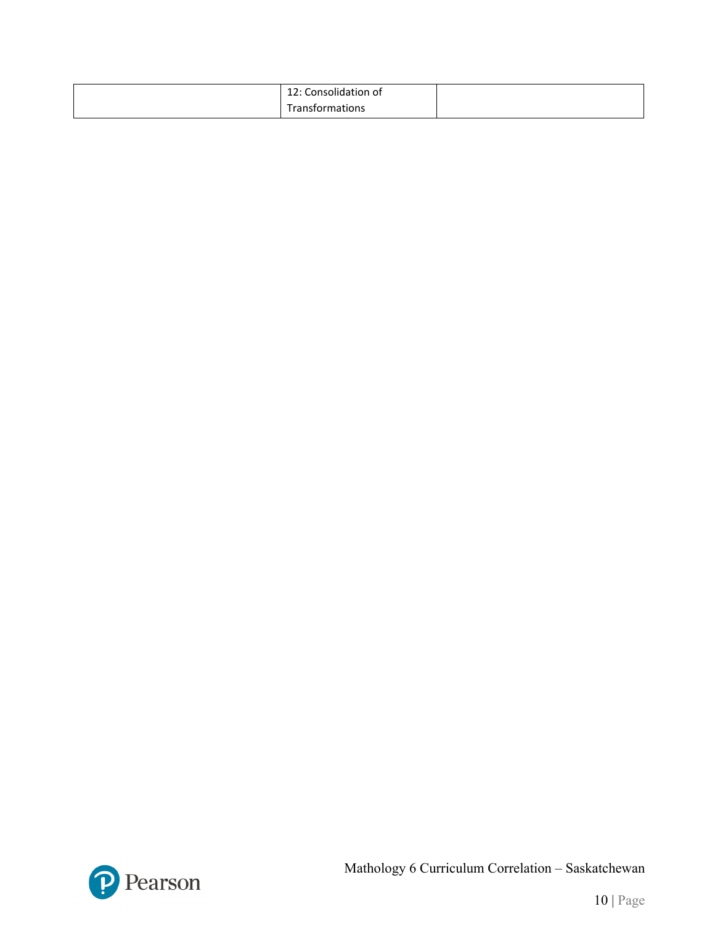| $\cdots$<br>Consolidation of<br><b>ILC.</b> |  |
|---------------------------------------------|--|
| -<br>tions<br>$-$<br>o<br>.                 |  |

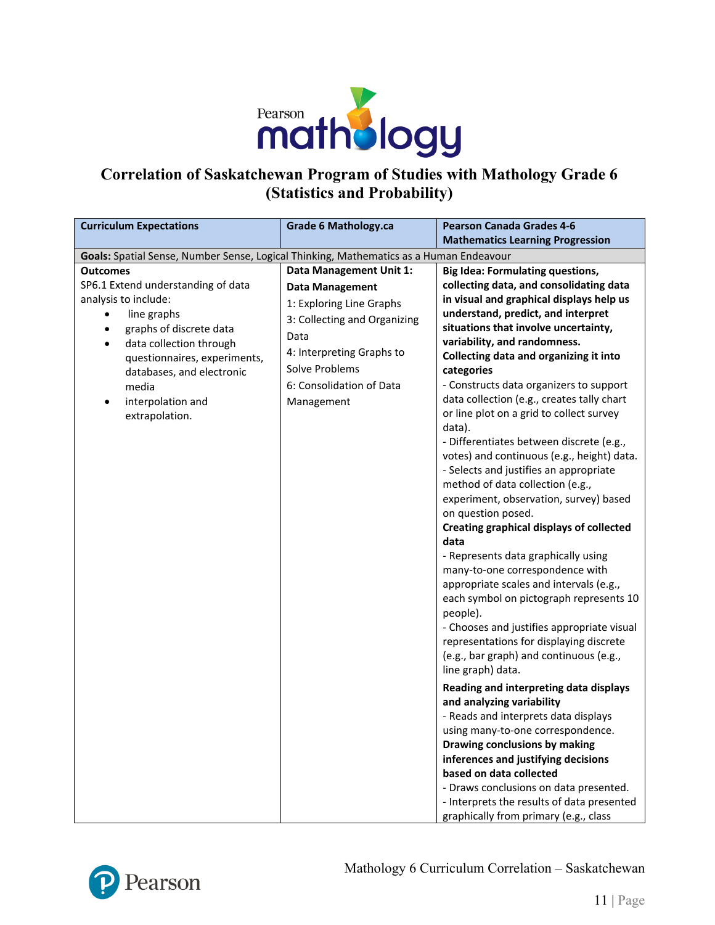

## **Correlation of Saskatchewan Program of Studies with Mathology Grade 6 (Statistics and Probability)**

| <b>Curriculum Expectations</b>                                                                                                                                                                                                                                                    | <b>Grade 6 Mathology.ca</b>                                                                                                                                                                                    | <b>Pearson Canada Grades 4-6</b>                                                                                                                                                                                                                                                                                                                                                                                                                                                                                                                                                                                                                                                                                                                                                                                                                                                                                                                                                                                                                                                                                                                                                                                                                                                                                                                                                                                                                                                    |
|-----------------------------------------------------------------------------------------------------------------------------------------------------------------------------------------------------------------------------------------------------------------------------------|----------------------------------------------------------------------------------------------------------------------------------------------------------------------------------------------------------------|-------------------------------------------------------------------------------------------------------------------------------------------------------------------------------------------------------------------------------------------------------------------------------------------------------------------------------------------------------------------------------------------------------------------------------------------------------------------------------------------------------------------------------------------------------------------------------------------------------------------------------------------------------------------------------------------------------------------------------------------------------------------------------------------------------------------------------------------------------------------------------------------------------------------------------------------------------------------------------------------------------------------------------------------------------------------------------------------------------------------------------------------------------------------------------------------------------------------------------------------------------------------------------------------------------------------------------------------------------------------------------------------------------------------------------------------------------------------------------------|
|                                                                                                                                                                                                                                                                                   |                                                                                                                                                                                                                | <b>Mathematics Learning Progression</b>                                                                                                                                                                                                                                                                                                                                                                                                                                                                                                                                                                                                                                                                                                                                                                                                                                                                                                                                                                                                                                                                                                                                                                                                                                                                                                                                                                                                                                             |
| Goals: Spatial Sense, Number Sense, Logical Thinking, Mathematics as a Human Endeavour                                                                                                                                                                                            |                                                                                                                                                                                                                |                                                                                                                                                                                                                                                                                                                                                                                                                                                                                                                                                                                                                                                                                                                                                                                                                                                                                                                                                                                                                                                                                                                                                                                                                                                                                                                                                                                                                                                                                     |
| <b>Outcomes</b><br>SP6.1 Extend understanding of data<br>analysis to include:<br>line graphs<br>graphs of discrete data<br>data collection through<br>$\bullet$<br>questionnaires, experiments,<br>databases, and electronic<br>media<br>interpolation and<br>٠<br>extrapolation. | Data Management Unit 1:<br><b>Data Management</b><br>1: Exploring Line Graphs<br>3: Collecting and Organizing<br>Data<br>4: Interpreting Graphs to<br>Solve Problems<br>6: Consolidation of Data<br>Management | <b>Big Idea: Formulating questions,</b><br>collecting data, and consolidating data<br>in visual and graphical displays help us<br>understand, predict, and interpret<br>situations that involve uncertainty,<br>variability, and randomness.<br>Collecting data and organizing it into<br>categories<br>- Constructs data organizers to support<br>data collection (e.g., creates tally chart<br>or line plot on a grid to collect survey<br>data).<br>- Differentiates between discrete (e.g.,<br>votes) and continuous (e.g., height) data.<br>- Selects and justifies an appropriate<br>method of data collection (e.g.,<br>experiment, observation, survey) based<br>on question posed.<br><b>Creating graphical displays of collected</b><br>data<br>- Represents data graphically using<br>many-to-one correspondence with<br>appropriate scales and intervals (e.g.,<br>each symbol on pictograph represents 10<br>people).<br>- Chooses and justifies appropriate visual<br>representations for displaying discrete<br>(e.g., bar graph) and continuous (e.g.,<br>line graph) data.<br>Reading and interpreting data displays<br>and analyzing variability<br>- Reads and interprets data displays<br>using many-to-one correspondence.<br>Drawing conclusions by making<br>inferences and justifying decisions<br>based on data collected<br>- Draws conclusions on data presented.<br>- Interprets the results of data presented<br>graphically from primary (e.g., class |